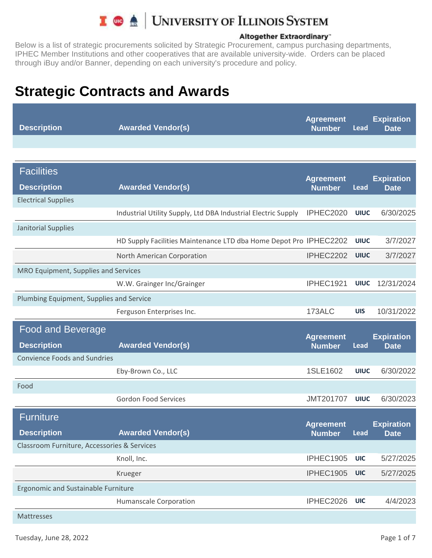

#### Altogether Extraordinary"

Below is a list of strategic procurements solicited by Strategic Procurement, campus purchasing departments, IPHEC Member Institutions and other cooperatives that are available university-wide. Orders can be placed through iBuy and/or Banner, depending on each university's procedure and policy.

| <b>Description</b> | <b>Awarded Vendor(s)</b> | Agreement<br><b>Number</b> | Lead | <b>Expiration</b><br><b>Date</b> |
|--------------------|--------------------------|----------------------------|------|----------------------------------|
|                    |                          |                            |      |                                  |

| <b>Facilities</b>                           |                                                                   | <b>Agreement</b>                  |             | <b>Expiration</b>                |
|---------------------------------------------|-------------------------------------------------------------------|-----------------------------------|-------------|----------------------------------|
| <b>Description</b>                          | <b>Awarded Vendor(s)</b>                                          | <b>Number</b>                     | <b>Lead</b> | <b>Date</b>                      |
| <b>Electrical Supplies</b>                  |                                                                   |                                   |             |                                  |
|                                             | Industrial Utility Supply, Ltd DBA Industrial Electric Supply     | IPHEC2020                         | <b>UIUC</b> | 6/30/2025                        |
| Janitorial Supplies                         |                                                                   |                                   |             |                                  |
|                                             | HD Supply Facilities Maintenance LTD dba Home Depot Pro IPHEC2202 |                                   | <b>UIUC</b> | 3/7/2027                         |
|                                             | North American Corporation                                        | IPHEC2202                         | <b>UIUC</b> | 3/7/2027                         |
| MRO Equipment, Supplies and Services        |                                                                   |                                   |             |                                  |
|                                             | W.W. Grainger Inc/Grainger                                        | IPHEC1921                         | <b>UIUC</b> | 12/31/2024                       |
| Plumbing Equipment, Supplies and Service    |                                                                   |                                   |             |                                  |
|                                             | Ferguson Enterprises Inc.                                         | 173ALC                            | <b>UIS</b>  | 10/31/2022                       |
| <b>Food and Beverage</b>                    |                                                                   |                                   |             |                                  |
| <b>Description</b>                          | <b>Awarded Vendor(s)</b>                                          | <b>Agreement</b><br><b>Number</b> | Lead        | <b>Expiration</b><br><b>Date</b> |
| <b>Convience Foods and Sundries</b>         |                                                                   |                                   |             |                                  |
|                                             | Eby-Brown Co., LLC                                                | 1SLE1602                          | <b>UIUC</b> | 6/30/2022                        |
| Food                                        |                                                                   |                                   |             |                                  |
|                                             | <b>Gordon Food Services</b>                                       | <b>JMT201707</b>                  | <b>UIUC</b> | 6/30/2023                        |
| <b>Furniture</b>                            |                                                                   |                                   |             |                                  |
| <b>Description</b>                          | <b>Awarded Vendor(s)</b>                                          | <b>Agreement</b><br><b>Number</b> | Lead        | <b>Expiration</b><br><b>Date</b> |
| Classroom Furniture, Accessories & Services |                                                                   |                                   |             |                                  |
|                                             | Knoll, Inc.                                                       | IPHEC1905                         | <b>UIC</b>  | 5/27/2025                        |
|                                             | Krueger                                                           | IPHEC1905                         | <b>UIC</b>  | 5/27/2025                        |
| <b>Ergonomic and Sustainable Furniture</b>  |                                                                   |                                   |             |                                  |
|                                             | <b>Humanscale Corporation</b>                                     | IPHEC2026                         | <b>UIC</b>  | 4/4/2023                         |
| <b>Mattresses</b>                           |                                                                   |                                   |             |                                  |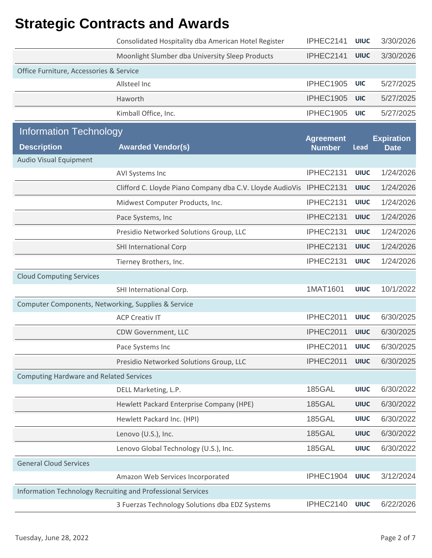|                                                     | Consolidated Hospitality dba American Hotel Register        | IPHEC2141                         | <b>UIUC</b> | 3/30/2026                        |
|-----------------------------------------------------|-------------------------------------------------------------|-----------------------------------|-------------|----------------------------------|
|                                                     | Moonlight Slumber dba University Sleep Products             | IPHEC2141                         | <b>UIUC</b> | 3/30/2026                        |
| Office Furniture, Accessories & Service             |                                                             |                                   |             |                                  |
|                                                     | Allsteel Inc                                                | IPHEC1905                         | <b>UIC</b>  | 5/27/2025                        |
|                                                     | Haworth                                                     | IPHEC1905                         | <b>UIC</b>  | 5/27/2025                        |
|                                                     | Kimball Office, Inc.                                        | IPHEC1905                         | <b>UIC</b>  | 5/27/2025                        |
| <b>Information Technology</b>                       |                                                             |                                   |             |                                  |
| <b>Description</b>                                  | <b>Awarded Vendor(s)</b>                                    | <b>Agreement</b><br><b>Number</b> | <b>Lead</b> | <b>Expiration</b><br><b>Date</b> |
| <b>Audio Visual Equipment</b>                       |                                                             |                                   |             |                                  |
|                                                     | AVI Systems Inc                                             | IPHEC2131                         | <b>UIUC</b> | 1/24/2026                        |
|                                                     | Clifford C. Lloyde Piano Company dba C.V. Lloyde AudioVis   | IPHEC2131                         | <b>UIUC</b> | 1/24/2026                        |
|                                                     | Midwest Computer Products, Inc.                             | IPHEC2131                         | <b>UIUC</b> | 1/24/2026                        |
|                                                     | Pace Systems, Inc                                           | IPHEC2131                         | <b>UIUC</b> | 1/24/2026                        |
|                                                     | Presidio Networked Solutions Group, LLC                     | IPHEC2131                         | <b>UIUC</b> | 1/24/2026                        |
|                                                     | <b>SHI International Corp</b>                               | IPHEC2131                         | <b>UIUC</b> | 1/24/2026                        |
|                                                     | Tierney Brothers, Inc.                                      | IPHEC2131                         | <b>UIUC</b> | 1/24/2026                        |
| <b>Cloud Computing Services</b>                     |                                                             |                                   |             |                                  |
|                                                     | SHI International Corp.                                     | 1MAT1601                          | <b>UIUC</b> | 10/1/2022                        |
| Computer Components, Networking, Supplies & Service |                                                             |                                   |             |                                  |
|                                                     | <b>ACP Creativ IT</b>                                       | IPHEC2011                         | <b>UIUC</b> | 6/30/2025                        |
|                                                     | CDW Government, LLC                                         | IPHEC2011                         | <b>UIUC</b> | 6/30/2025                        |
|                                                     | Pace Systems Inc                                            | IPHEC2011                         | <b>UIUC</b> | 6/30/2025                        |
|                                                     | Presidio Networked Solutions Group, LLC                     | IPHEC2011                         | <b>UIUC</b> | 6/30/2025                        |
| <b>Computing Hardware and Related Services</b>      |                                                             |                                   |             |                                  |
|                                                     | DELL Marketing, L.P.                                        | <b>185GAL</b>                     | <b>UIUC</b> | 6/30/2022                        |
|                                                     | Hewlett Packard Enterprise Company (HPE)                    | <b>185GAL</b>                     | <b>UIUC</b> | 6/30/2022                        |
|                                                     | Hewlett Packard Inc. (HPI)                                  | <b>185GAL</b>                     | <b>UIUC</b> | 6/30/2022                        |
|                                                     | Lenovo (U.S.), Inc.                                         | <b>185GAL</b>                     | <b>UIUC</b> | 6/30/2022                        |
|                                                     | Lenovo Global Technology (U.S.), Inc.                       | <b>185GAL</b>                     | <b>UIUC</b> | 6/30/2022                        |
| <b>General Cloud Services</b>                       |                                                             |                                   |             |                                  |
|                                                     | Amazon Web Services Incorporated                            | IPHEC1904                         | <b>UIUC</b> | 3/12/2024                        |
|                                                     | Information Technology Recruiting and Professional Services |                                   |             |                                  |
|                                                     | 3 Fuerzas Technology Solutions dba EDZ Systems              | IPHEC2140                         | <b>UIUC</b> | 6/22/2026                        |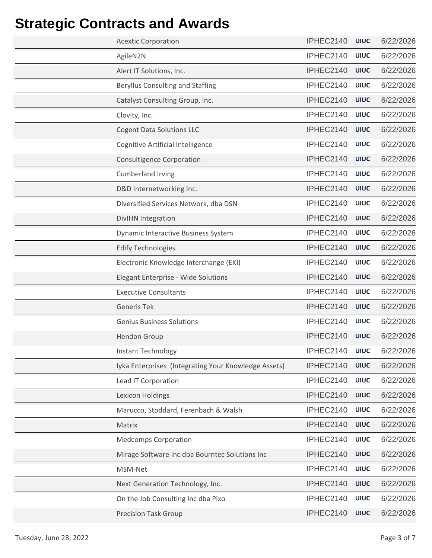| <b>Acextic Corporation</b>                           | IPHEC2140      | <b>UIUC</b> | 6/22/2026 |
|------------------------------------------------------|----------------|-------------|-----------|
| AgileN2N                                             | IPHEC2140      | <b>UIUC</b> | 6/22/2026 |
| Alert IT Solutions, Inc.                             | IPHEC2140      | <b>UIUC</b> | 6/22/2026 |
| <b>Beryllus Consulting and Staffing</b>              | IPHEC2140      | <b>UIUC</b> | 6/22/2026 |
| Catalyst Consulting Group, Inc.                      | IPHEC2140      | <b>UIUC</b> | 6/22/2026 |
| Clovity, Inc.                                        | IPHEC2140      | <b>UIUC</b> | 6/22/2026 |
| <b>Cogent Data Solutions LLC</b>                     | IPHEC2140      | <b>UIUC</b> | 6/22/2026 |
| Cognitive Artificial Intelligence                    | IPHEC2140      | <b>UIUC</b> | 6/22/2026 |
| <b>Consultigence Corporation</b>                     | IPHEC2140      | <b>UIUC</b> | 6/22/2026 |
| <b>Cumberland Irving</b>                             | IPHEC2140      | <b>UIUC</b> | 6/22/2026 |
| D&D Internetworking Inc.                             | IPHEC2140      | <b>UIUC</b> | 6/22/2026 |
| Diversified Services Network, dba DSN                | IPHEC2140      | <b>UIUC</b> | 6/22/2026 |
| DivIHN Integration                                   | IPHEC2140      | <b>UIUC</b> | 6/22/2026 |
| <b>Dynamic Interactive Business System</b>           | IPHEC2140      | <b>UIUC</b> | 6/22/2026 |
| <b>Edify Technologies</b>                            | IPHEC2140      | <b>UIUC</b> | 6/22/2026 |
| Electronic Knowledge Interchange (EKI)               | IPHEC2140      | <b>UIUC</b> | 6/22/2026 |
| Elegant Enterprise - Wide Solutions                  | IPHEC2140      | <b>UIUC</b> | 6/22/2026 |
| <b>Executive Consultants</b>                         | IPHEC2140      | <b>UIUC</b> | 6/22/2026 |
| <b>Generis Tek</b>                                   | IPHEC2140      | <b>UIUC</b> | 6/22/2026 |
| <b>Genius Business Solutions</b>                     | IPHEC2140      | <b>UIUC</b> | 6/22/2026 |
| <b>Hendon Group</b>                                  | IPHEC2140      | <b>UIUC</b> | 6/22/2026 |
| Instant Technology                                   | IPHEC2140 UIUC |             | 6/22/2026 |
| Iyka Enterprises (Integrating Your Knowledge Assets) | IPHEC2140      | <b>UIUC</b> | 6/22/2026 |
| Lead IT Corporation                                  | IPHEC2140      | <b>UIUC</b> | 6/22/2026 |
| <b>Lexicon Holdings</b>                              | IPHEC2140      | <b>UIUC</b> | 6/22/2026 |
| Marucco, Stoddard, Ferenbach & Walsh                 | IPHEC2140      | <b>UIUC</b> | 6/22/2026 |
| Matrix                                               | IPHEC2140      | <b>UIUC</b> | 6/22/2026 |
| <b>Medcomps Corporation</b>                          | IPHEC2140      | <b>UIUC</b> | 6/22/2026 |
| Mirage Software Inc dba Bourntec Solutions Inc       | IPHEC2140      | <b>UIUC</b> | 6/22/2026 |
| MSM-Net                                              | IPHEC2140      | <b>UIUC</b> | 6/22/2026 |
| Next Generation Technology, Inc.                     | IPHEC2140      | <b>UIUC</b> | 6/22/2026 |
| On the Job Consulting Inc dba Pixo                   | IPHEC2140      | <b>UIUC</b> | 6/22/2026 |
| <b>Precision Task Group</b>                          | IPHEC2140      | <b>UIUC</b> | 6/22/2026 |
|                                                      |                |             |           |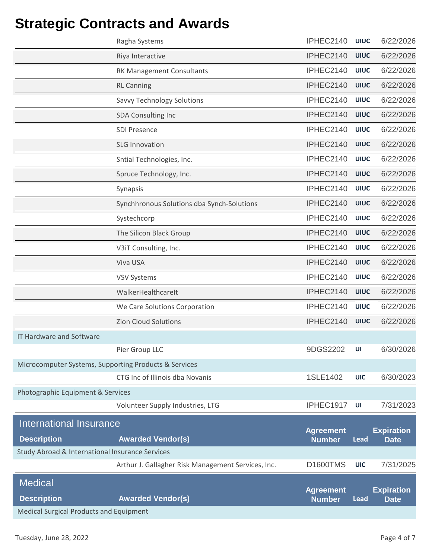| <b>Medical Surgical Products and Equipment</b>        |                                                    |                                   |                            |                                  |
|-------------------------------------------------------|----------------------------------------------------|-----------------------------------|----------------------------|----------------------------------|
| <b>Medical</b><br><b>Description</b>                  | <b>Awarded Vendor(s)</b>                           | <b>Agreement</b><br><b>Number</b> | <b>Lead</b>                | <b>Expiration</b><br><b>Date</b> |
|                                                       | Arthur J. Gallagher Risk Management Services, Inc. | <b>D1600TMS</b>                   | <b>UIC</b>                 | 7/31/2025                        |
| Study Abroad & International Insurance Services       |                                                    |                                   |                            |                                  |
| <b>Description</b>                                    | <b>Awarded Vendor(s)</b>                           | <b>Number</b>                     | Lead                       | <b>Date</b>                      |
| International Insurance                               |                                                    | <b>Agreement</b>                  |                            | <b>Expiration</b>                |
|                                                       | Volunteer Supply Industries, LTG                   | IPHEC1917                         | UI                         | 7/31/2023                        |
| Photographic Equipment & Services                     |                                                    |                                   |                            |                                  |
|                                                       | CTG Inc of Illinois dba Novanis                    | 1SLE1402                          | <b>UIC</b>                 | 6/30/2023                        |
| Microcomputer Systems, Supporting Products & Services |                                                    |                                   |                            |                                  |
|                                                       | Pier Group LLC                                     | 9DGS2202                          | UI                         | 6/30/2026                        |
| <b>IT Hardware and Software</b>                       |                                                    |                                   |                            |                                  |
|                                                       | <b>Zion Cloud Solutions</b>                        | IPHEC2140                         | <b>UIUC</b>                | 6/22/2026                        |
|                                                       | We Care Solutions Corporation                      | IPHEC2140                         | <b>UIUC</b>                | 6/22/2026                        |
|                                                       | WalkerHealthcareIt                                 | IPHEC2140                         | <b>UIUC</b>                | 6/22/2026                        |
|                                                       | <b>VSV Systems</b>                                 | IPHEC2140                         | <b>UIUC</b>                | 6/22/2026                        |
|                                                       | Viva USA                                           | IPHEC2140                         | <b>UIUC</b>                | 6/22/2026                        |
|                                                       | V3iT Consulting, Inc.                              | IPHEC2140                         | <b>UIUC</b>                | 6/22/2026                        |
|                                                       | The Silicon Black Group                            | IPHEC2140                         | <b>UIUC</b>                | 6/22/2026                        |
|                                                       | Systechcorp                                        | IPHEC2140                         | <b>UIUC</b>                | 6/22/2026                        |
|                                                       | Synchhronous Solutions dba Synch-Solutions         | IPHEC2140                         | <b>UIUC</b>                | 6/22/2026                        |
|                                                       | Synapsis                                           | IPHEC2140                         | <b>UIUC</b>                | 6/22/2026                        |
|                                                       | Spruce Technology, Inc.                            | IPHEC2140                         | <b>UIUC</b>                | 6/22/2026                        |
|                                                       | Sntial Technologies, Inc.                          | IPHEC2140                         | <b>UIUC</b>                | 6/22/2026                        |
|                                                       | <b>SDI Presence</b><br><b>SLG Innovation</b>       | IPHEC2140                         | <b>UIUC</b>                | 6/22/2026                        |
|                                                       | <b>SDA Consulting Inc</b>                          | IPHEC2140                         | <b>UIUC</b>                | 6/22/2026                        |
|                                                       | <b>Savvy Technology Solutions</b>                  | IPHEC2140                         | <b>UIUC</b>                | 6/22/2026                        |
|                                                       | <b>RL Canning</b>                                  | IPHEC2140                         | <b>UIUC</b>                | 6/22/2026                        |
|                                                       | RK Management Consultants                          | IPHEC2140                         | <b>UIUC</b>                | 6/22/2026                        |
|                                                       | Riya Interactive                                   | IPHEC2140                         | <b>UIUC</b><br><b>UIUC</b> | 6/22/2026                        |
|                                                       | Ragha Systems                                      | IPHEC2140                         | <b>UIUC</b>                | 6/22/2026<br>6/22/2026           |
|                                                       |                                                    | IPHEC2140                         |                            |                                  |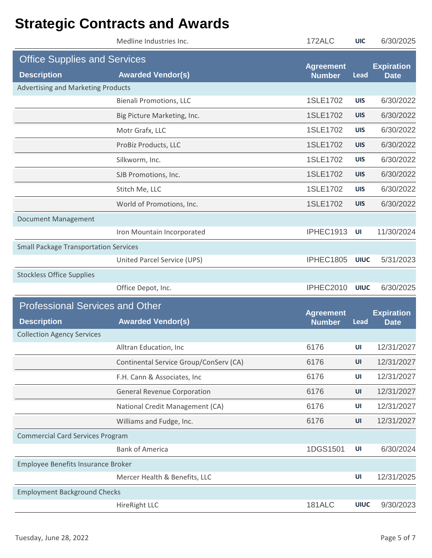|                                              | Medline Industries Inc.                | 172ALC                            | <b>UIC</b>  | 6/30/2025                        |
|----------------------------------------------|----------------------------------------|-----------------------------------|-------------|----------------------------------|
| <b>Office Supplies and Services</b>          |                                        |                                   |             |                                  |
| <b>Description</b>                           | <b>Awarded Vendor(s)</b>               | <b>Agreement</b><br><b>Number</b> | <b>Lead</b> | <b>Expiration</b><br><b>Date</b> |
| <b>Advertising and Marketing Products</b>    |                                        |                                   |             |                                  |
|                                              | <b>Bienali Promotions, LLC</b>         | 1SLE1702                          | <b>UIS</b>  | 6/30/2022                        |
|                                              | Big Picture Marketing, Inc.            | 1SLE1702                          | <b>UIS</b>  | 6/30/2022                        |
|                                              | Motr Grafx, LLC                        | 1SLE1702                          | <b>UIS</b>  | 6/30/2022                        |
|                                              | ProBiz Products, LLC                   | 1SLE1702                          | <b>UIS</b>  | 6/30/2022                        |
|                                              | Silkworm, Inc.                         | 1SLE1702                          | <b>UIS</b>  | 6/30/2022                        |
|                                              | SJB Promotions, Inc.                   | 1SLE1702                          | <b>UIS</b>  | 6/30/2022                        |
|                                              | Stitch Me, LLC                         | 1SLE1702                          | <b>UIS</b>  | 6/30/2022                        |
|                                              | World of Promotions, Inc.              | 1SLE1702                          | <b>UIS</b>  | 6/30/2022                        |
| <b>Document Management</b>                   |                                        |                                   |             |                                  |
|                                              | Iron Mountain Incorporated             | IPHEC1913                         | UI          | 11/30/2024                       |
| <b>Small Package Transportation Services</b> |                                        |                                   |             |                                  |
|                                              | United Parcel Service (UPS)            | IPHEC1805                         | <b>UIUC</b> | 5/31/2023                        |
| <b>Stockless Office Supplies</b>             |                                        |                                   |             |                                  |
|                                              | Office Depot, Inc.                     | IPHEC2010                         | <b>UIUC</b> | 6/30/2025                        |
| <b>Professional Services and Other</b>       |                                        |                                   |             |                                  |
| <b>Description</b>                           | <b>Awarded Vendor(s)</b>               | <b>Agreement</b><br><b>Number</b> | <b>Lead</b> | <b>Expiration</b><br><b>Date</b> |
| <b>Collection Agency Services</b>            |                                        |                                   |             |                                  |
|                                              | Alltran Education, Inc.                | 6176                              | UI          | 12/31/2027                       |
|                                              | Continental Service Group/ConServ (CA) | 6176                              | UI          | 12/31/2027                       |
|                                              | F.H. Cann & Associates, Inc            | 6176                              | UI          | 12/31/2027                       |
|                                              | <b>General Revenue Corporation</b>     | 6176                              | UI          | 12/31/2027                       |
|                                              | National Credit Management (CA)        | 6176                              | UI          | 12/31/2027                       |
|                                              | Williams and Fudge, Inc.               | 6176                              | UI          | 12/31/2027                       |
| <b>Commercial Card Services Program</b>      |                                        |                                   |             |                                  |
|                                              | <b>Bank of America</b>                 | 1DGS1501                          | UI          | 6/30/2024                        |
| Employee Benefits Insurance Broker           |                                        |                                   |             |                                  |
|                                              | Mercer Health & Benefits, LLC          |                                   | UI          | 12/31/2025                       |
| <b>Employment Background Checks</b>          |                                        |                                   |             |                                  |
|                                              |                                        |                                   |             |                                  |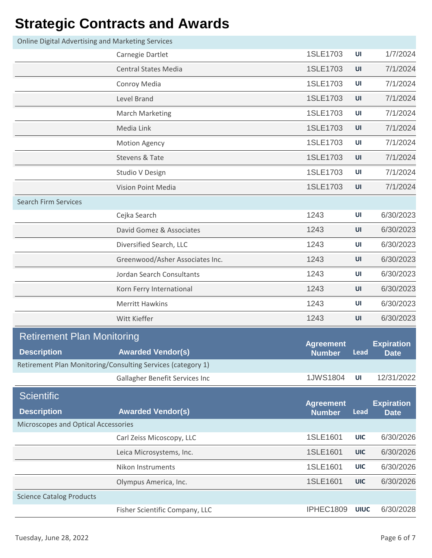| <b>Online Digital Advertising and Marketing Services</b> |                                                             |                                   |             |                                  |
|----------------------------------------------------------|-------------------------------------------------------------|-----------------------------------|-------------|----------------------------------|
|                                                          | Carnegie Dartlet                                            | 1SLE1703                          | UI          | 1/7/2024                         |
|                                                          | <b>Central States Media</b>                                 | 1SLE1703                          | UI          | 7/1/2024                         |
|                                                          | Conroy Media                                                | 1SLE1703                          | UI          | 7/1/2024                         |
|                                                          | Level Brand                                                 | 1SLE1703                          | UI          | 7/1/2024                         |
|                                                          | <b>March Marketing</b>                                      | 1SLE1703                          | UI          | 7/1/2024                         |
|                                                          | Media Link                                                  | 1SLE1703                          | UI          | 7/1/2024                         |
|                                                          | <b>Motion Agency</b>                                        | 1SLE1703                          | UI          | 7/1/2024                         |
|                                                          | Stevens & Tate                                              | 1SLE1703                          | UI          | 7/1/2024                         |
|                                                          | Studio V Design                                             | 1SLE1703                          | UI          | 7/1/2024                         |
|                                                          | <b>Vision Point Media</b>                                   | 1SLE1703                          | UI          | 7/1/2024                         |
| <b>Search Firm Services</b>                              |                                                             |                                   |             |                                  |
|                                                          | Cejka Search                                                | 1243                              | UI          | 6/30/2023                        |
|                                                          | David Gomez & Associates                                    | 1243                              | UI          | 6/30/2023                        |
|                                                          | Diversified Search, LLC                                     | 1243                              | UI          | 6/30/2023                        |
|                                                          | Greenwood/Asher Associates Inc.                             | 1243                              | UI          | 6/30/2023                        |
|                                                          | Jordan Search Consultants                                   | 1243                              | UI          | 6/30/2023                        |
|                                                          | Korn Ferry International                                    | 1243                              | UI          | 6/30/2023                        |
|                                                          | <b>Merritt Hawkins</b>                                      | 1243                              | UI          | 6/30/2023                        |
|                                                          | Witt Kieffer                                                | 1243                              | UI          | 6/30/2023                        |
| <b>Retirement Plan Monitoring</b>                        |                                                             |                                   |             |                                  |
| <b>Description</b>                                       | <b>Awarded Vendor(s)</b>                                    | <b>Agreement</b><br>Number Lead   |             | <b>Expiration</b><br><b>Date</b> |
|                                                          | Retirement Plan Monitoring/Consulting Services (category 1) |                                   |             |                                  |
|                                                          | Gallagher Benefit Services Inc                              | 1JWS1804                          | UI          | 12/31/2022                       |
| <b>Scientific</b>                                        |                                                             |                                   |             |                                  |
| <b>Description</b>                                       | <b>Awarded Vendor(s)</b>                                    | <b>Agreement</b><br><b>Number</b> | <b>Lead</b> | <b>Expiration</b><br><b>Date</b> |
| Microscopes and Optical Accessories                      |                                                             |                                   |             |                                  |
|                                                          | Carl Zeiss Micoscopy, LLC                                   | 1SLE1601                          | <b>UIC</b>  | 6/30/2026                        |
|                                                          | Leica Microsystems, Inc.                                    | 1SLE1601                          | <b>UIC</b>  | 6/30/2026                        |
|                                                          | Nikon Instruments                                           | 1SLE1601                          | <b>UIC</b>  | 6/30/2026                        |
|                                                          | Olympus America, Inc.                                       | 1SLE1601                          | <b>UIC</b>  | 6/30/2026                        |
| <b>Science Catalog Products</b>                          |                                                             |                                   |             |                                  |
|                                                          | Fisher Scientific Company, LLC                              | IPHEC1809                         | <b>UIUC</b> | 6/30/2028                        |